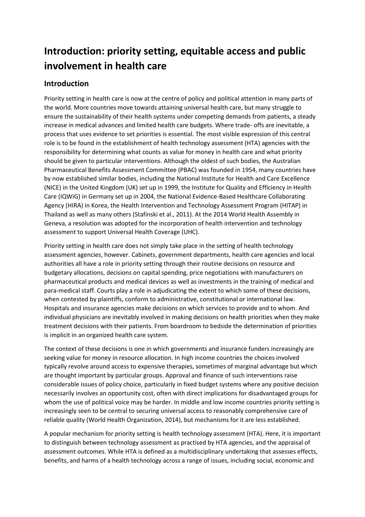# **Introduction: priority setting, equitable access and public involvement in health care**

## **Introduction**

Priority setting in health care is now at the centre of policy and political attention in many parts of the world. More countries move towards attaining universal health care, but many struggle to ensure the sustainability of their health systems under competing demands from patients, a steady increase in medical advances and limited health care budgets. Where trade- offs are inevitable, a process that uses evidence to set priorities is essential. The most visible expression of this central role is to be found in the establishment of health technology assessment (HTA) agencies with the responsibility for determining what counts as value for money in health care and what priority should be given to particular interventions. Although the oldest of such bodies, the Australian Pharmaceutical Benefits Assessment Committee (PBAC) was founded in 1954, many countries have by now established similar bodies, including the National Institute for Health and Care Excellence (NICE) in the United Kingdom (UK) set up in 1999, the Institute for Quality and Efficiency in Health Care (IQWiG) in Germany set up in 2004, the National Evidence-Based Healthcare Collaborating Agency (HIRA) in Korea, the Health Intervention and Technology Assessment Program (HITAP) in Thailand as well as many others (Stafinski et al., 2011). At the 2014 World Health Assembly in Geneva, a resolution was adopted for the incorporation of health intervention and technology assessment to support Universal Health Coverage (UHC).

Priority setting in health care does not simply take place in the setting of health technology assessment agencies, however. Cabinets, government departments, health care agencies and local authorities all have a role in priority setting through their routine decisions on resource and budgetary allocations, decisions on capital spending, price negotiations with manufacturers on pharmaceutical products and medical devices as well as investments in the training of medical and para-medical staff. Courts play a role in adjudicating the extent to which some of these decisions, when contested by plaintiffs, conform to administrative, constitutional or international law. Hospitals and insurance agencies make decisions on which services to provide and to whom. And individual physicians are inevitably involved in making decisions on health priorities when they make treatment decisions with their patients. From boardroom to bedside the determination of priorities is implicit in an organized health care system.

The context of these decisions is one in which governments and insurance funders increasingly are seeking value for money in resource allocation. In high income countries the choices involved typically revolve around access to expensive therapies, sometimes of marginal advantage but which are thought important by particular groups. Approval and finance of such interventions raise considerable issues of policy choice, particularly in fixed budget systems where any positive decision necessarily involves an opportunity cost, often with direct implications for disadvantaged groups for whom the use of political voice may be harder. In middle and low income countries priority setting is increasingly seen to be central to securing universal access to reasonably comprehensive care of reliable quality (World Health Organization, 2014), but mechanisms for it are less established.

A popular mechanism for priority setting is health technology assessment (HTA). Here, it is important to distinguish between technology assessment as practised by HTA agencies, and the appraisal of assessment outcomes. While HTA is defined as a multidisciplinary undertaking that assesses effects, benefits, and harms of a health technology across a range of issues, including social, economic and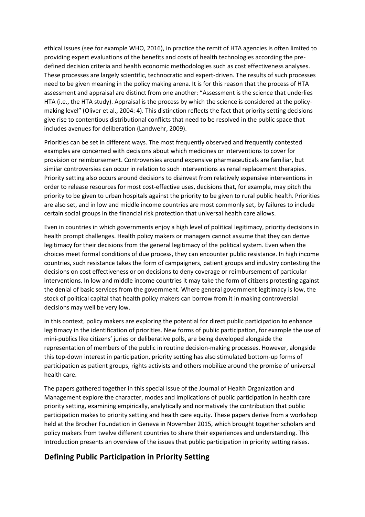ethical issues (see for example WHO, 2016), in practice the remit of HTA agencies is often limited to providing expert evaluations of the benefits and costs of health technologies according the predefined decision criteria and health economic methodologies such as cost effectiveness analyses. These processes are largely scientific, technocratic and expert-driven. The results of such processes need to be given meaning in the policy making arena. It is for this reason that the process of HTA assessment and appraisal are distinct from one another: "Assessment is the science that underlies HTA (i.e., the HTA study). Appraisal is the process by which the science is considered at the policymaking level" (Oliver et al., 2004: 4). This distinction reflects the fact that priority setting decisions give rise to contentious distributional conflicts that need to be resolved in the public space that includes avenues for deliberation (Landwehr, 2009).

Priorities can be set in different ways. The most frequently observed and frequently contested examples are concerned with decisions about which medicines or interventions to cover for provision or reimbursement. Controversies around expensive pharmaceuticals are familiar, but similar controversies can occur in relation to such interventions as renal replacement therapies. Priority setting also occurs around decisions to disinvest from relatively expensive interventions in order to release resources for most cost-effective uses, decisions that, for example, may pitch the priority to be given to urban hospitals against the priority to be given to rural public health. Priorities are also set, and in low and middle income countries are most commonly set, by failures to include certain social groups in the financial risk protection that universal health care allows.

Even in countries in which governments enjoy a high level of political legitimacy, priority decisions in health prompt challenges. Health policy makers or managers cannot assume that they can derive legitimacy for their decisions from the general legitimacy of the political system. Even when the choices meet formal conditions of due process, they can encounter public resistance. In high income countries, such resistance takes the form of campaigners, patient groups and industry contesting the decisions on cost effectiveness or on decisions to deny coverage or reimbursement of particular interventions. In low and middle income countries it may take the form of citizens protesting against the denial of basic services from the government. Where general government legitimacy is low, the stock of political capital that health policy makers can borrow from it in making controversial decisions may well be very low.

In this context, policy makers are exploring the potential for direct public participation to enhance legitimacy in the identification of priorities. New forms of public participation, for example the use of mini-publics like citizens' juries or deliberative polls, are being developed alongside the representation of members of the public in routine decision-making processes. However, alongside this top-down interest in participation, priority setting has also stimulated bottom-up forms of participation as patient groups, rights activists and others mobilize around the promise of universal health care.

The papers gathered together in this special issue of the Journal of Health Organization and Management explore the character, modes and implications of public participation in health care priority setting, examining empirically, analytically and normatively the contribution that public participation makes to priority setting and health care equity. These papers derive from a workshop held at the Brocher Foundation in Geneva in November 2015, which brought together scholars and policy makers from twelve different countries to share their experiences and understanding. This Introduction presents an overview of the issues that public participation in priority setting raises.

# **Defining Public Participation in Priority Setting**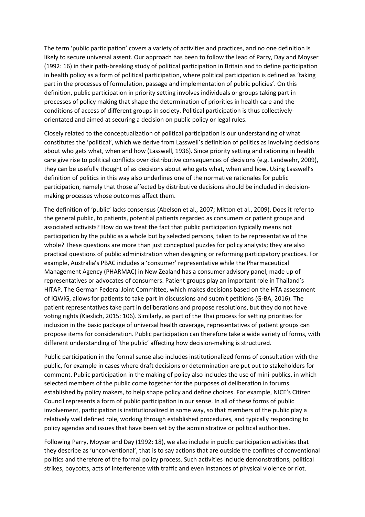The term 'public participation' covers a variety of activities and practices, and no one definition is likely to secure universal assent. Our approach has been to follow the lead of Parry, Day and Moyser (1992: 16) in their path-breaking study of political participation in Britain and to define participation in health policy as a form of political participation, where political participation is defined as 'taking part in the processes of formulation, passage and implementation of public policies'. On this definition, public participation in priority setting involves individuals or groups taking part in processes of policy making that shape the determination of priorities in health care and the conditions of access of different groups in society. Political participation is thus collectivelyorientated and aimed at securing a decision on public policy or legal rules.

Closely related to the conceptualization of political participation is our understanding of what constitutes the 'political', which we derive from Lasswell's definition of politics as involving decisions about who gets what, when and how (Lasswell, 1936). Since priority setting and rationing in health care give rise to political conflicts over distributive consequences of decisions (e.g. Landwehr, 2009), they can be usefully thought of as decisions about who gets what, when and how. Using Lasswell's definition of politics in this way also underlines one of the normative rationales for public participation, namely that those affected by distributive decisions should be included in decisionmaking processes whose outcomes affect them.

The definition of 'public' lacks consensus (Abelson et al., 2007; Mitton et al., 2009). Does it refer to the general public, to patients, potential patients regarded as consumers or patient groups and associated activists? How do we treat the fact that public participation typically means not participation by the public as a whole but by selected persons, taken to be representative of the whole? These questions are more than just conceptual puzzles for policy analysts; they are also practical questions of public administration when designing or reforming participatory practices. For example, Australia's PBAC includes a 'consumer' representative while the Pharmaceutical Management Agency (PHARMAC) in New Zealand has a consumer advisory panel, made up of representatives or advocates of consumers. Patient groups play an important role in Thailand's HITAP. The German Federal Joint Committee, which makes decisions based on the HTA assessment of IQWiG, allows for patients to take part in discussions and submit petitions (G-BA, 2016). The patient representatives take part in deliberations and propose resolutions, but they do not have voting rights (Kieslich, 2015: 106). Similarly, as part of the Thai process for setting priorities for inclusion in the basic package of universal health coverage, representatives of patient groups can propose items for consideration. Public participation can therefore take a wide variety of forms, with different understanding of 'the public' affecting how decision-making is structured.

Public participation in the formal sense also includes institutionalized forms of consultation with the public, for example in cases where draft decisions or determination are put out to stakeholders for comment. Public participation in the making of policy also includes the use of mini-publics, in which selected members of the public come together for the purposes of deliberation in forums established by policy makers, to help shape policy and define choices. For example, NICE's Citizen Council represents a form of public participation in our sense. In all of these forms of public involvement, participation is institutionalized in some way, so that members of the public play a relatively well defined role, working through established procedures, and typically responding to policy agendas and issues that have been set by the administrative or political authorities.

Following Parry, Moyser and Day (1992: 18), we also include in public participation activities that they describe as 'unconventional', that is to say actions that are outside the confines of conventional politics and therefore of the formal policy process. Such activities include demonstrations, political strikes, boycotts, acts of interference with traffic and even instances of physical violence or riot.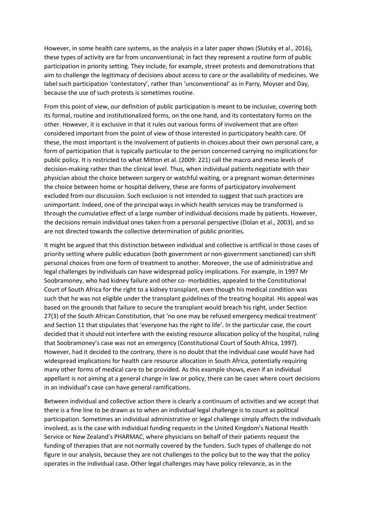However, in some health care systems, as the analysis in a later paper shows (Slutsky et al., 2016), these types of activity are far from unconventional; in fact they represent a routine form of public participation in priority setting. They include, for example, street protests and demonstrations that aim to challenge the legitimacy of decisions about access to care or the availability of medicines. We label such participation 'contestatory', rather than 'unconventional' as in Parry, Moyser and Day, because the use of such protests is sometimes routine.

From this point of view, our definition of public participation is meant to be inclusive, covering both its formal, routine and institutionalized forms, on the one hand, and its contestatory forms on the other. However, it is exclusive in that it rules out various forms of involvement that are often considered important from the point of view of those interested in participatory health care. Of these, the most important is the involvement of patients in choices about their own personal care, a form of participation that is typically particular to the person concerned carrying no implications for public policy. It is restricted to what Mitton et al. (2009: 221) call the macro and meso levels of decision-making rather than the clinical level. Thus, when individual patients negotiate with their physician about the choice between surgery or watchful waiting, or a pregnant woman determines the choice between home or hospital delivery, these are forms of participatory involvement excluded from our discussion. Such exclusion is not intended to suggest that such practices are unimportant. Indeed, one of the principal ways in which health services may be transformed is through the cumulative effect of a large number of individual decisions made by patients. However, the decisions remain individual ones taken from a personal perspective (Dolan et al., 2003), and so are not directed towards the collective determination of public priorities.

It might be argued that this distinction between individual and collective is artificial in those cases of priority setting where public education (both government or non-government sanctioned) can shift personal choices from one form of treatment to another. Moreover, the use of administrative and legal challenges by individuals can have widespread policy implications. For example, in 1997 Mr Soobramoney, who had kidney failure and other co- morbidities, appealed to the Constitutional Court of South Africa for the right to a kidney transplant, even though his medical condition was such that he was not eligible under the transplant guidelines of the treating hospital. His appeal was based on the grounds that failure to secure the transplant would breach his right, under Section 27(3) of the South African Constitution, that 'no one may be refused emergency medical treatment' and Section 11 that stipulates that 'everyone has the right to life'. In the particular case, the court decided that it should not interfere with the existing resource allocation policy of the hospital, ruling that Soobramoney's case was not an emergency (Constitutional Court of South Africa, 1997). However, had it decided to the contrary, there is no doubt that the individual case would have had widespread implications for health care resource allocation in South Africa, potentially requiring many other forms of medical care to be provided. As this example shows, even if an individual appellant is not aiming at a general change in law or policy, there can be cases where court decisions in an individual's case can have general ramifications.

Between individual and collective action there is clearly a continuum of activities and we accept that there is a fine line to be drawn as to when an individual legal challenge is to count as political participation. Sometimes an individual administrative or legal challenge simply affects the individuals involved, as is the case with individual funding requests in the United Kingdom's National Health Service or New Zealand's PHARMAC, where physicians on behalf of their patients request the funding of therapies that are not normally covered by the funders. Such types of challenge do not figure in our analysis, because they are not challenges to the policy but to the way that the policy operates in the individual case. Other legal challenges may have policy relevance, as in the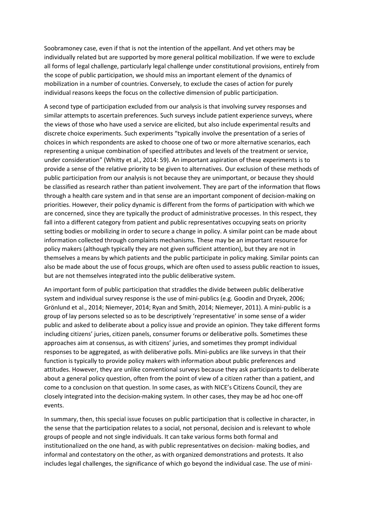Soobramoney case, even if that is not the intention of the appellant. And yet others may be individually related but are supported by more general political mobilization. If we were to exclude all forms of legal challenge, particularly legal challenge under constitutional provisions, entirely from the scope of public participation, we should miss an important element of the dynamics of mobilization in a number of countries. Conversely, to exclude the cases of action for purely individual reasons keeps the focus on the collective dimension of public participation.

A second type of participation excluded from our analysis is that involving survey responses and similar attempts to ascertain preferences. Such surveys include patient experience surveys, where the views of those who have used a service are elicited, but also include experimental results and discrete choice experiments. Such experiments "typically involve the presentation of a series of choices in which respondents are asked to choose one of two or more alternative scenarios, each representing a unique combination of specified attributes and levels of the treatment or service, under consideration" (Whitty et al., 2014: 59). An important aspiration of these experiments is to provide a sense of the relative priority to be given to alternatives. Our exclusion of these methods of public participation from our analysis is not because they are unimportant, or because they should be classified as research rather than patient involvement. They are part of the information that flows through a health care system and in that sense are an important component of decision-making on priorities. However, their policy dynamic is different from the forms of participation with which we are concerned, since they are typically the product of administrative processes. In this respect, they fall into a different category from patient and public representatives occupying seats on priority setting bodies or mobilizing in order to secure a change in policy. A similar point can be made about information collected through complaints mechanisms. These may be an important resource for policy makers (although typically they are not given sufficient attention), but they are not in themselves a means by which patients and the public participate in policy making. Similar points can also be made about the use of focus groups, which are often used to assess public reaction to issues, but are not themselves integrated into the public deliberative system.

An important form of public participation that straddles the divide between public deliberative system and individual survey response is the use of mini-publics (e.g. Goodin and Dryzek, 2006; Grönlund et al., 2014; Niemeyer, 2014; Ryan and Smith, 2014; Niemeyer, 2011). A mini-public is a group of lay persons selected so as to be descriptively 'representative' in some sense of a wider public and asked to deliberate about a policy issue and provide an opinion. They take different forms including citizens' juries, citizen panels, consumer forums or deliberative polls. Sometimes these approaches aim at consensus, as with citizens' juries, and sometimes they prompt individual responses to be aggregated, as with deliberative polls. Mini-publics are like surveys in that their function is typically to provide policy makers with information about public preferences and attitudes. However, they are unlike conventional surveys because they ask participants to deliberate about a general policy question, often from the point of view of a citizen rather than a patient, and come to a conclusion on that question. In some cases, as with NICE's Citizens Council, they are closely integrated into the decision-making system. In other cases, they may be ad hoc one-off events.

In summary, then, this special issue focuses on public participation that is collective in character, in the sense that the participation relates to a social, not personal, decision and is relevant to whole groups of people and not single individuals. It can take various forms both formal and institutionalized on the one hand, as with public representatives on decision- making bodies, and informal and contestatory on the other, as with organized demonstrations and protests. It also includes legal challenges, the significance of which go beyond the individual case. The use of mini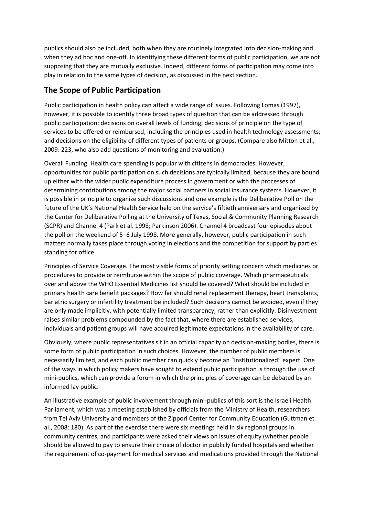publics should also be included, both when they are routinely integrated into decision-making and when they ad hoc and one-off. In identifying these different forms of public participation, we are not supposing that they are mutually exclusive. Indeed, different forms of participation may come into play in relation to the same types of decision, as discussed in the next section.

# **The Scope of Public Participation**

Public participation in health policy can affect a wide range of issues. Following Lomas (1997), however, it is possible to identify three broad types of question that can be addressed through public participation: decisions on overall levels of funding; decisions of principle on the type of services to be offered or reimbursed, including the principles used in health technology assessments; and decisions on the eligibility of different types of patients or groups. (Compare also Mitton et al., 2009: 223, who also add questions of monitoring and evaluation.)

Overall Funding. Health care spending is popular with citizens in democracies. However, opportunities for public participation on such decisions are typically limited, because they are bound up either with the wider public expenditure process in government or with the processes of determining contributions among the major social partners in social insurance systems. However, it is possible in principle to organize such discussions and one example is the Deliberative Poll on the future of the UK's National Health Service held on the service's fiftieth anniversary and organized by the Center for Deliberative Polling at the University of Texas, Social & Community Planning Research (SCPR) and Channel 4 (Park et al. 1998; Parkinson 2006). Channel 4 broadcast four episodes about the poll on the weekend of 5–6 July 1998. More generally, however, public participation in such matters normally takes place through voting in elections and the competition for support by parties standing for office.

Principles of Service Coverage. The most visible forms of priority setting concern which medicines or procedures to provide or reimburse within the scope of public coverage. Which pharmaceuticals over and above the WHO Essential Medicines list should be covered? What should be included in primary health care benefit packages? How far should renal replacement therapy, heart transplants, bariatric surgery or infertility treatment be included? Such decisions cannot be avoided, even if they are only made implicitly, with potentially limited transparency, rather than explicitly. Disinvestment raises similar problems compounded by the fact that, where there are established services, individuals and patient groups will have acquired legitimate expectations in the availability of care.

Obviously, where public representatives sit in an official capacity on decision-making bodies, there is some form of public participation in such choices. However, the number of public members is necessarily limited, and each public member can quickly become an "institutionalized" expert. One of the ways in which policy makers have sought to extend public participation is through the use of mini-publics, which can provide a forum in which the principles of coverage can be debated by an informed lay public.

An illustrative example of public involvement through mini-publics of this sort is the Israeli Health Parliament, which was a meeting established by officials from the Ministry of Health, researchers from Tel Aviv University and members of the Zippori Center for Community Education (Guttman et al., 2008: 180). As part of the exercise there were six meetings held in six regional groups in community centres, and participants were asked their views on issues of equity (whether people should be allowed to pay to ensure their choice of doctor in publicly funded hospitals and whether the requirement of co-payment for medical services and medications provided through the National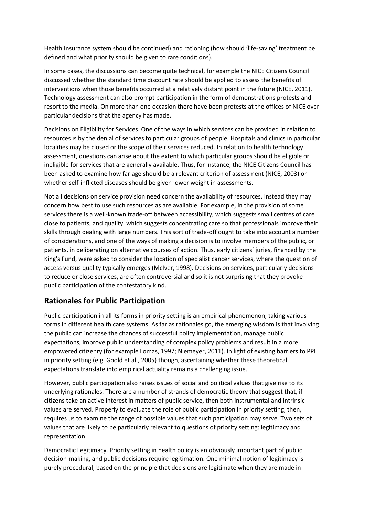Health Insurance system should be continued) and rationing (how should 'life-saving' treatment be defined and what priority should be given to rare conditions).

In some cases, the discussions can become quite technical, for example the NICE Citizens Council discussed whether the standard time discount rate should be applied to assess the benefits of interventions when those benefits occurred at a relatively distant point in the future (NICE, 2011). Technology assessment can also prompt participation in the form of demonstrations protests and resort to the media. On more than one occasion there have been protests at the offices of NICE over particular decisions that the agency has made.

Decisions on Eligibility for Services. One of the ways in which services can be provided in relation to resources is by the denial of services to particular groups of people. Hospitals and clinics in particular localities may be closed or the scope of their services reduced. In relation to health technology assessment, questions can arise about the extent to which particular groups should be eligible or ineligible for services that are generally available. Thus, for instance, the NICE Citizens Council has been asked to examine how far age should be a relevant criterion of assessment (NICE, 2003) or whether self-inflicted diseases should be given lower weight in assessments.

Not all decisions on service provision need concern the availability of resources. Instead they may concern how best to use such resources as are available. For example, in the provision of some services there is a well-known trade-off between accessibility, which suggests small centres of care close to patients, and quality, which suggests concentrating care so that professionals improve their skills through dealing with large numbers. This sort of trade-off ought to take into account a number of considerations, and one of the ways of making a decision is to involve members of the public, or patients, in deliberating on alternative courses of action. Thus, early citizens' juries, financed by the King's Fund, were asked to consider the location of specialist cancer services, where the question of access versus quality typically emerges (McIver, 1998). Decisions on services, particularly decisions to reduce or close services, are often controversial and so it is not surprising that they provoke public participation of the contestatory kind.

#### **Rationales for Public Participation**

Public participation in all its forms in priority setting is an empirical phenomenon, taking various forms in different health care systems. As far as rationales go, the emerging wisdom is that involving the public can increase the chances of successful policy implementation, manage public expectations, improve public understanding of complex policy problems and result in a more empowered citizenry (for example Lomas, 1997; Niemeyer, 2011). In light of existing barriers to PPI in priority setting (e.g. Goold et al., 2005) though, ascertaining whether these theoretical expectations translate into empirical actuality remains a challenging issue.

However, public participation also raises issues of social and political values that give rise to its underlying rationales. There are a number of strands of democratic theory that suggest that, if citizens take an active interest in matters of public service, then both instrumental and intrinsic values are served. Properly to evaluate the role of public participation in priority setting, then, requires us to examine the range of possible values that such participation may serve. Two sets of values that are likely to be particularly relevant to questions of priority setting: legitimacy and representation.

Democratic Legitimacy. Priority setting in health policy is an obviously important part of public decision-making, and public decisions require legitimation. One minimal notion of legitimacy is purely procedural, based on the principle that decisions are legitimate when they are made in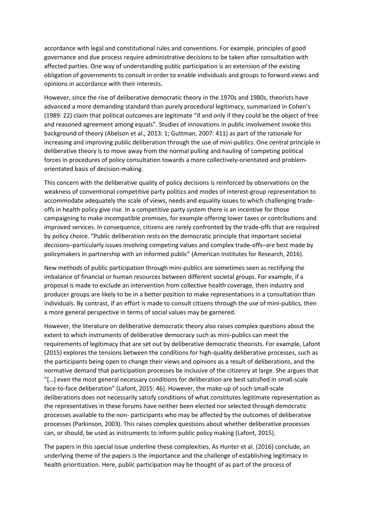accordance with legal and constitutional rules and conventions. For example, principles of good governance and due process require administrative decisions to be taken after consultation with affected parties. One way of understanding public participation is an extension of the existing obligation of governments to consult in order to enable individuals and groups to forward views and opinions in accordance with their interests.

However, since the rise of deliberative democratic theory in the 1970s and 1980s, theorists have advanced a more demanding standard than purely procedural legitimacy, summarized in Cohen's (1989: 22) claim that political outcomes are legitimate "if and only if they could be the object of free and reasoned agreement among equals". Studies of innovations in public involvement invoke this background of theory (Abelson et al., 2013: 1; Guttman, 2007: 411) as part of the rationale for increasing and improving public deliberation through the use of mini-publics. One central principle in deliberative theory is to move away from the normal pulling and hauling of competing political forces in procedures of policy consultation towards a more collectively-orientated and problemorientated basis of decision-making.

This concern with the deliberative quality of policy decisions is reinforced by observations on the weakness of conventional competitive party politics and modes of interest-group representation to accommodate adequately the scale of views, needs and equality issues to which challenging tradeoffs in health policy give rise. In a competitive party system there is an incentive for those campaigning to make incompatible promises, for example offering lower taxes or contributions and improved services. In consequence, citizens are rarely confronted by the trade-offs that are required by policy choice. "Public deliberation rests on the democratic principle that important societal decisions–particularly issues involving competing values and complex trade-offs–are best made by policymakers in partnership with an informed public" (American Institutes for Research, 2016).

New methods of public participation through mini-publics are sometimes seen as rectifying the imbalance of financial or human resources between different societal groups. For example, if a proposal is made to exclude an intervention from collective health coverage, then industry and producer groups are likely to be in a better position to make representations in a consultation than individuals. By contrast, if an effort is made to consult citizens through the use of mini-publics, then a more general perspective in terms of social values may be garnered.

However, the literature on deliberative democratic theory also raises complex questions about the extent to which instruments of deliberative democracy such as mini-publics can meet the requirements of legitimacy that are set out by deliberative democratic theorists. For example, Lafont (2015) explores the tensions between the conditions for high-quality deliberative processes, such as the participants being open to change their views and opinions as a result of deliberations, and the normative demand that participation processes be inclusive of the citizenry at large. She argues that "[…] even the most general necessary conditions for deliberation are best satisfied in small-scale face-to-face deliberation" (Lafont, 2015: 46). However, the make-up of such small-scale deliberations does not necessarily satisfy conditions of what constitutes legitimate representation as the representatives in these forums have neither been elected nor selected through democratic processes available to the non- participants who may be affected by the outcomes of deliberative processes (Parkinson, 2003). This raises complex questions about whether deliberative processes can, or should, be used as instruments to inform public policy making (Lafont, 2015).

The papers in this special issue underline these complexities. As Hunter et al. (2016) conclude, an underlying theme of the papers is the importance and the challenge of establishing legitimacy in health prioritization. Here, public participation may be thought of as part of the process of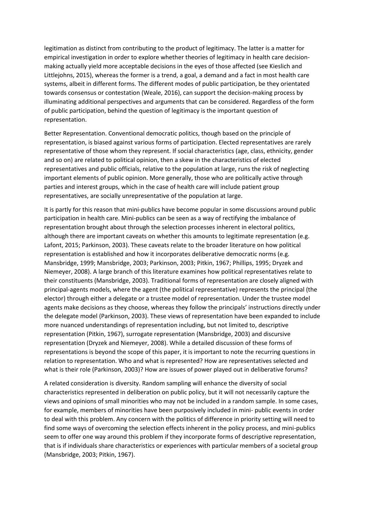legitimation as distinct from contributing to the product of legitimacy. The latter is a matter for empirical investigation in order to explore whether theories of legitimacy in health care decisionmaking actually yield more acceptable decisions in the eyes of those affected (see Kieslich and Littlejohns, 2015), whereas the former is a trend, a goal, a demand and a fact in most health care systems, albeit in different forms. The different modes of public participation, be they orientated towards consensus or contestation (Weale, 2016), can support the decision-making process by illuminating additional perspectives and arguments that can be considered. Regardless of the form of public participation, behind the question of legitimacy is the important question of representation.

Better Representation. Conventional democratic politics, though based on the principle of representation, is biased against various forms of participation. Elected representatives are rarely representative of those whom they represent. If social characteristics (age, class, ethnicity, gender and so on) are related to political opinion, then a skew in the characteristics of elected representatives and public officials, relative to the population at large, runs the risk of neglecting important elements of public opinion. More generally, those who are politically active through parties and interest groups, which in the case of health care will include patient group representatives, are socially unrepresentative of the population at large.

It is partly for this reason that mini-publics have become popular in some discussions around public participation in health care. Mini-publics can be seen as a way of rectifying the imbalance of representation brought about through the selection processes inherent in electoral politics, although there are important caveats on whether this amounts to legitimate representation (e.g. Lafont, 2015; Parkinson, 2003). These caveats relate to the broader literature on how political representation is established and how it incorporates deliberative democratic norms (e.g. Mansbridge, 1999; Mansbridge, 2003; Parkinson, 2003; Pitkin, 1967; Phillips, 1995; Dryzek and Niemeyer, 2008). A large branch of this literature examines how political representatives relate to their constituents (Mansbridge, 2003). Traditional forms of representation are closely aligned with principal-agents models, where the agent (the political representative) represents the principal (the elector) through either a delegate or a trustee model of representation. Under the trustee model agents make decisions as they choose, whereas they follow the principals' instructions directly under the delegate model (Parkinson, 2003). These views of representation have been expanded to include more nuanced understandings of representation including, but not limited to, descriptive representation (Pitkin, 1967), surrogate representation (Mansbridge, 2003) and discursive representation (Dryzek and Niemeyer, 2008). While a detailed discussion of these forms of representations is beyond the scope of this paper, it is important to note the recurring questions in relation to representation. Who and what is represented? How are representatives selected and what is their role (Parkinson, 2003)? How are issues of power played out in deliberative forums?

A related consideration is diversity. Random sampling will enhance the diversity of social characteristics represented in deliberation on public policy, but it will not necessarily capture the views and opinions of small minorities who may not be included in a random sample. In some cases, for example, members of minorities have been purposively included in mini- public events in order to deal with this problem. Any concern with the politics of difference in priority setting will need to find some ways of overcoming the selection effects inherent in the policy process, and mini-publics seem to offer one way around this problem if they incorporate forms of descriptive representation, that is if individuals share characteristics or experiences with particular members of a societal group (Mansbridge, 2003; Pitkin, 1967).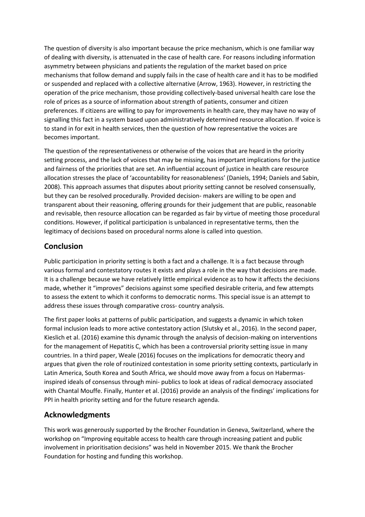The question of diversity is also important because the price mechanism, which is one familiar way of dealing with diversity, is attenuated in the case of health care. For reasons including information asymmetry between physicians and patients the regulation of the market based on price mechanisms that follow demand and supply fails in the case of health care and it has to be modified or suspended and replaced with a collective alternative (Arrow, 1963). However, in restricting the operation of the price mechanism, those providing collectively-based universal health care lose the role of prices as a source of information about strength of patients, consumer and citizen preferences. If citizens are willing to pay for improvements in health care, they may have no way of signalling this fact in a system based upon administratively determined resource allocation. If voice is to stand in for exit in health services, then the question of how representative the voices are becomes important.

The question of the representativeness or otherwise of the voices that are heard in the priority setting process, and the lack of voices that may be missing, has important implications for the justice and fairness of the priorities that are set. An influential account of justice in health care resource allocation stresses the place of 'accountability for reasonableness' (Daniels, 1994; Daniels and Sabin, 2008). This approach assumes that disputes about priority setting cannot be resolved consensually, but they can be resolved procedurally. Provided decision- makers are willing to be open and transparent about their reasoning, offering grounds for their judgement that are public, reasonable and revisable, then resource allocation can be regarded as fair by virtue of meeting those procedural conditions. However, if political participation is unbalanced in representative terms, then the legitimacy of decisions based on procedural norms alone is called into question.

## **Conclusion**

Public participation in priority setting is both a fact and a challenge. It is a fact because through various formal and contestatory routes it exists and plays a role in the way that decisions are made. It is a challenge because we have relatively little empirical evidence as to how it affects the decisions made, whether it "improves" decisions against some specified desirable criteria, and few attempts to assess the extent to which it conforms to democratic norms. This special issue is an attempt to address these issues through comparative cross- country analysis.

The first paper looks at patterns of public participation, and suggests a dynamic in which token formal inclusion leads to more active contestatory action (Slutsky et al., 2016). In the second paper, Kieslich et al. (2016) examine this dynamic through the analysis of decision-making on interventions for the management of Hepatitis C, which has been a controversial priority setting issue in many countries. In a third paper, Weale (2016) focuses on the implications for democratic theory and argues that given the role of routinized contestation in some priority setting contexts, particularly in Latin America, South Korea and South Africa, we should move away from a focus on Habermasinspired ideals of consensus through mini- publics to look at ideas of radical democracy associated with Chantal Mouffe. Finally, Hunter et al. (2016) provide an analysis of the findings' implications for PPI in health priority setting and for the future research agenda.

#### **Acknowledgments**

This work was generously supported by the Brocher Foundation in Geneva, Switzerland, where the workshop on "Improving equitable access to health care through increasing patient and public involvement in prioritisation decisions" was held in November 2015. We thank the Brocher Foundation for hosting and funding this workshop.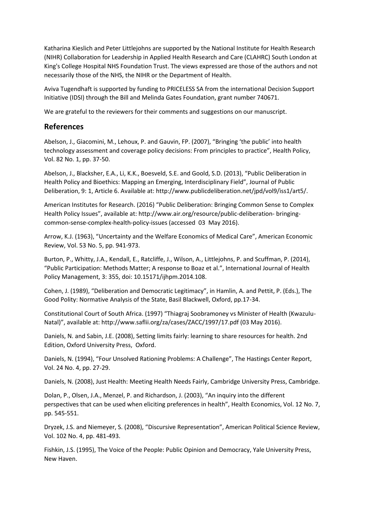Katharina Kieslich and Peter Littlejohns are supported by the National Institute for Health Research (NIHR) Collaboration for Leadership in Applied Health Research and Care (CLAHRC) South London at King's College Hospital NHS Foundation Trust. The views expressed are those of the authors and not necessarily those of the NHS, the NIHR or the Department of Health.

Aviva Tugendhaft is supported by funding to PRICELESS SA from the international Decision Support Initiative (IDSI) through the Bill and Melinda Gates Foundation, grant number 740671.

We are grateful to the reviewers for their comments and suggestions on our manuscript.

#### **References**

Abelson, J., Giacomini, M., Lehoux, P. and Gauvin, FP. (2007), "Bringing 'the public' into health technology assessment and coverage policy decisions: From principles to practice", Health Policy, Vol. 82 No. 1, pp. 37-50.

Abelson, J., Blacksher, E.A., Li, K.K., Boesveld, S.E. and Goold, S.D. (2013), "Public Deliberation in Health Policy and Bioethics: Mapping an Emerging, Interdisciplinary Field", Journal of Public Deliberation, 9: 1, Article 6. Available at: http://www.publicdeliberation.net/jpd/vol9/iss1/art5/.

American Institutes for Research. (2016) "Public Deliberation: Bringing Common Sense to Complex Health Policy Issues", available at: http://www.air.org/resource/public-deliberation- bringingcommon-sense-complex-health-policy-issues (accessed 03 May 2016).

Arrow, K.J. (1963), "Uncertainty and the Welfare Economics of Medical Care", American Economic Review, Vol. 53 No. 5, pp. 941-973.

Burton, P., Whitty, J.A., Kendall, E., Ratcliffe, J., Wilson, A., Littlejohns, P. and Scuffman, P. (2014), "Public Participation: Methods Matter; A response to Boaz et al.", International Journal of Health Policy Management, 3: 355, doi: 10.15171/ijhpm.2014.108.

Cohen, J. (1989), "Deliberation and Democratic Legitimacy", in Hamlin, A. and Pettit, P. (Eds.), The Good Polity: Normative Analysis of the State, Basil Blackwell, Oxford, pp.17-34.

Constitutional Court of South Africa. (1997) "Thiagraj Soobramoney vs Minister of Health (Kwazulu-Natal)", available at: http://www.saflii.org/za/cases/ZACC/1997/17.pdf (03 May 2016).

Daniels, N. and Sabin, J.E. (2008), Setting limits fairly: learning to share resources for health. 2nd Edition, Oxford University Press, Oxford.

Daniels, N. (1994), "Four Unsolved Rationing Problems: A Challenge", The Hastings Center Report, Vol. 24 No. 4, pp. 27-29.

Daniels, N. (2008), Just Health: Meeting Health Needs Fairly, Cambridge University Press, Cambridge.

Dolan, P., Olsen, J.A., Menzel, P. and Richardson, J. (2003), "An inquiry into the different perspectives that can be used when eliciting preferences in health", Health Economics, Vol. 12 No. 7, pp. 545-551.

Dryzek, J.S. and Niemeyer, S. (2008), "Discursive Representation", American Political Science Review, Vol. 102 No. 4, pp. 481-493.

Fishkin, J.S. (1995), The Voice of the People: Public Opinion and Democracy, Yale University Press, New Haven.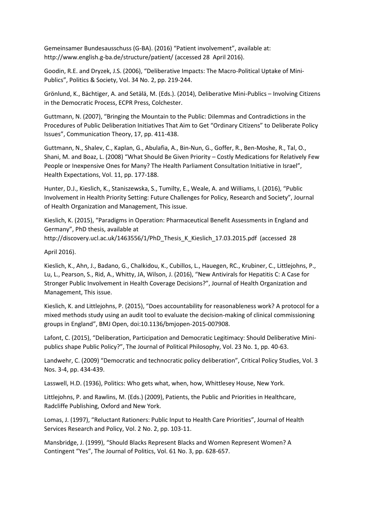Gemeinsamer Bundesausschuss (G-BA). (2016) "Patient involvement", available at: http://www.english.g-ba.de/structure/patient/ (accessed 28 April 2016).

Goodin, R.E. and Dryzek, J.S. (2006), "Deliberative Impacts: The Macro-Political Uptake of Mini-Publics", Politics & Society, Vol. 34 No. 2, pp. 219-244.

Grönlund, K., Bächtiger, A. and Setälä, M. (Eds.). (2014), Deliberative Mini-Publics – Involving Citizens in the Democratic Process, ECPR Press, Colchester.

Guttmann, N. (2007), "Bringing the Mountain to the Public: Dilemmas and Contradictions in the Procedures of Public Deliberation Initiatives That Aim to Get "Ordinary Citizens" to Deliberate Policy Issues", Communication Theory, 17, pp. 411-438.

Guttmann, N., Shalev, C., Kaplan, G., Abulafia, A., Bin-Nun, G., Goffer, R., Ben-Moshe, R., Tal, O., Shani, M. and Boaz, L. (2008) "What Should Be Given Priority – Costly Medications for Relatively Few People or Inexpensive Ones for Many? The Health Parliament Consultation Initiative in Israel", Health Expectations, Vol. 11, pp. 177-188.

Hunter, D.J., Kieslich, K., Staniszewska, S., Tumilty, E., Weale, A. and Williams, I. (2016), "Public Involvement in Health Priority Setting: Future Challenges for Policy, Research and Society", Journal of Health Organization and Management, This issue.

Kieslich, K. (2015), "Paradigms in Operation: Pharmaceutical Benefit Assessments in England and Germany", PhD thesis, available at http://discovery.ucl.ac.uk/1463556/1/PhD\_Thesis\_K\_Kieslich\_17.03.2015.pdf (accessed 28

April 2016).

Kieslich, K., Ahn, J., Badano, G., Chalkidou, K., Cubillos, L., Hauegen, RC., Krubiner, C., Littlejohns, P., Lu, L., Pearson, S., Rid, A., Whitty, JA, Wilson, J. (2016), "New Antivirals for Hepatitis C: A Case for Stronger Public Involvement in Health Coverage Decisions?", Journal of Health Organization and Management, This issue.

Kieslich, K. and Littlejohns, P. (2015), "Does accountability for reasonableness work? A protocol for a mixed methods study using an audit tool to evaluate the decision-making of clinical commissioning groups in England", BMJ Open, doi:10.1136/bmjopen-2015-007908.

Lafont, C. (2015), "Deliberation, Participation and Democratic Legitimacy: Should Deliberative Minipublics shape Public Policy?", The Journal of Political Philosophy, Vol. 23 No. 1, pp. 40-63.

Landwehr, C. (2009) "Democratic and technocratic policy deliberation", Critical Policy Studies, Vol. 3 Nos. 3-4, pp. 434-439.

Lasswell, H.D. (1936), Politics: Who gets what, when, how, Whittlesey House, New York.

Littlejohns, P. and Rawlins, M. (Eds.) (2009), Patients, the Public and Priorities in Healthcare, Radcliffe Publishing, Oxford and New York.

Lomas, J. (1997), "Reluctant Rationers: Public Input to Health Care Priorities", Journal of Health Services Research and Policy, Vol. 2 No. 2, pp. 103-11.

Mansbridge, J. (1999), "Should Blacks Represent Blacks and Women Represent Women? A Contingent "Yes", The Journal of Politics, Vol. 61 No. 3, pp. 628-657.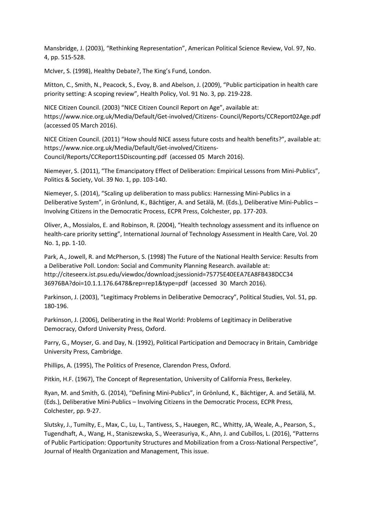Mansbridge, J. (2003), "Rethinking Representation", American Political Science Review, Vol. 97, No. 4, pp. 515-528.

McIver, S. (1998), Healthy Debate?, The King's Fund, London.

Mitton, C., Smith, N., Peacock, S., Evoy, B. and Abelson, J. (2009), "Public participation in health care priority setting: A scoping review", Health Policy, Vol. 91 No. 3, pp. 219-228.

NICE Citizen Council. (2003) "NICE Citizen Council Report on Age", available at: https://www.nice.org.uk/Media/Default/Get-involved/Citizens- Council/Reports/CCReport02Age.pdf (accessed 05 March 2016).

NICE Citizen Council. (2011) "How should NICE assess future costs and health benefits?", available at: https://www.nice.org.uk/Media/Default/Get-involved/Citizens-

Council/Reports/CCReport15Discounting.pdf (accessed 05 March 2016).

Niemeyer, S. (2011), "The Emancipatory Effect of Deliberation: Empirical Lessons from Mini-Publics", Politics & Society, Vol. 39 No. 1, pp. 103-140.

Niemeyer, S. (2014), "Scaling up deliberation to mass publics: Harnessing Mini-Publics in a Deliberative System", in Grönlund, K., Bächtiger, A. and Setälä, M. (Eds.), Deliberative Mini-Publics – Involving Citizens in the Democratic Process, ECPR Press, Colchester, pp. 177-203.

Oliver, A., Mossialos, E. and Robinson, R. (2004), "Health technology assessment and its influence on health-care priority setting", International Journal of Technology Assessment in Health Care, Vol. 20 No. 1, pp. 1-10.

Park, A., Jowell, R. and McPherson, S. (1998) The Future of the National Health Service: Results from a Deliberative Poll. London: Social and Community Planning Research. available at: http://citeseerx.ist.psu.edu/viewdoc/download;jsessionid=75775E40EEA7EA8FB438DCC34 36976BA?doi=10.1.1.176.6478&rep=rep1&type=pdf (accessed 30 March 2016).

Parkinson, J. (2003), "Legitimacy Problems in Deliberative Democracy", Political Studies, Vol. 51, pp. 180-196.

Parkinson, J. (2006), Deliberating in the Real World: Problems of Legitimacy in Deliberative Democracy, Oxford University Press, Oxford.

Parry, G., Moyser, G. and Day, N. (1992), Political Participation and Democracy in Britain, Cambridge University Press, Cambridge.

Phillips, A. (1995), The Politics of Presence, Clarendon Press, Oxford.

Pitkin, H.F. (1967), The Concept of Representation, University of California Press, Berkeley.

Ryan, M. and Smith, G. (2014), "Defining Mini-Publics", in Grönlund, K., Bächtiger, A. and Setälä, M. (Eds.), Deliberative Mini-Publics – Involving Citizens in the Democratic Process, ECPR Press, Colchester, pp. 9-27.

Slutsky, J., Tumilty, E., Max, C., Lu, L., Tantivess, S., Hauegen, RC., Whitty, JA, Weale, A., Pearson, S., Tugendhaft, A., Wang, H., Staniszewska, S., Weerasuriya, K., Ahn, J. and Cubillos, L. (2016), "Patterns of Public Participation: Opportunity Structures and Mobilization from a Cross-National Perspective", Journal of Health Organization and Management, This issue.